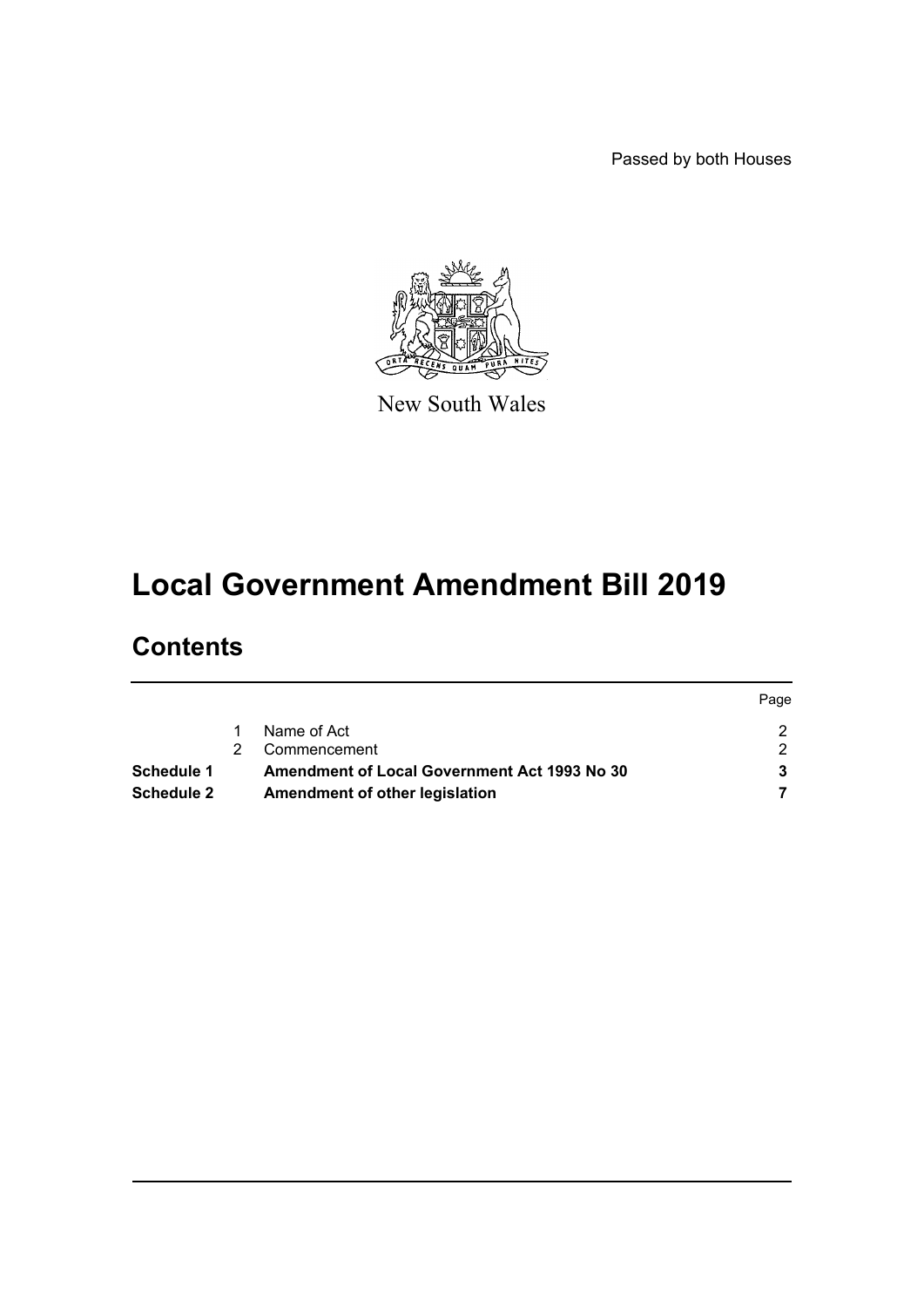Passed by both Houses



New South Wales

# **Local Government Amendment Bill 2019**

## **Contents**

|                   |                                                     | Page |
|-------------------|-----------------------------------------------------|------|
|                   | Name of Act                                         |      |
|                   | Commencement                                        |      |
| <b>Schedule 1</b> | <b>Amendment of Local Government Act 1993 No 30</b> |      |
| <b>Schedule 2</b> | Amendment of other legislation                      |      |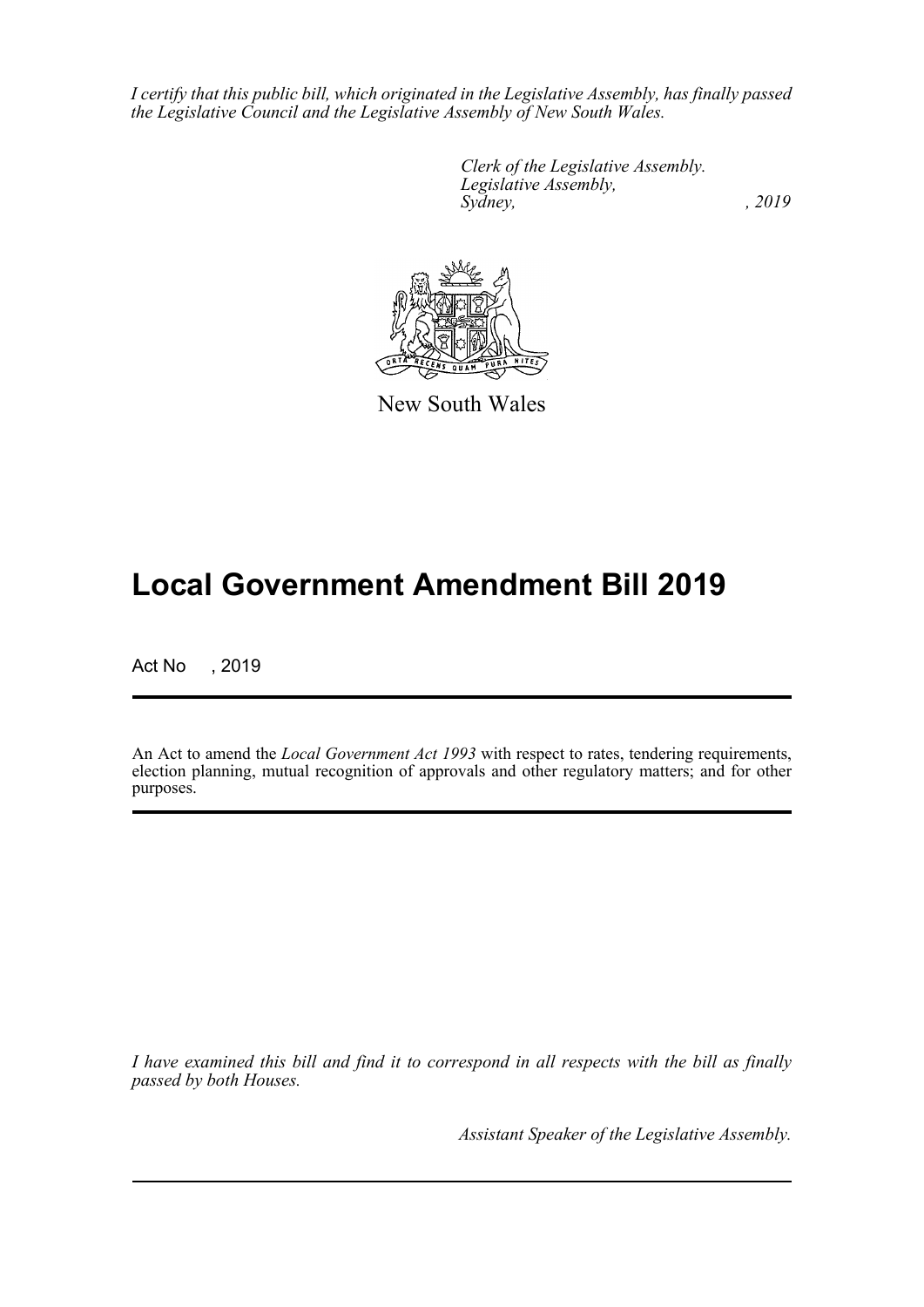*I certify that this public bill, which originated in the Legislative Assembly, has finally passed the Legislative Council and the Legislative Assembly of New South Wales.*

> *Clerk of the Legislative Assembly. Legislative Assembly, Sydney,* , 2019



New South Wales

# **Local Government Amendment Bill 2019**

Act No , 2019

An Act to amend the *Local Government Act 1993* with respect to rates, tendering requirements, election planning, mutual recognition of approvals and other regulatory matters; and for other purposes.

*I have examined this bill and find it to correspond in all respects with the bill as finally passed by both Houses.*

*Assistant Speaker of the Legislative Assembly.*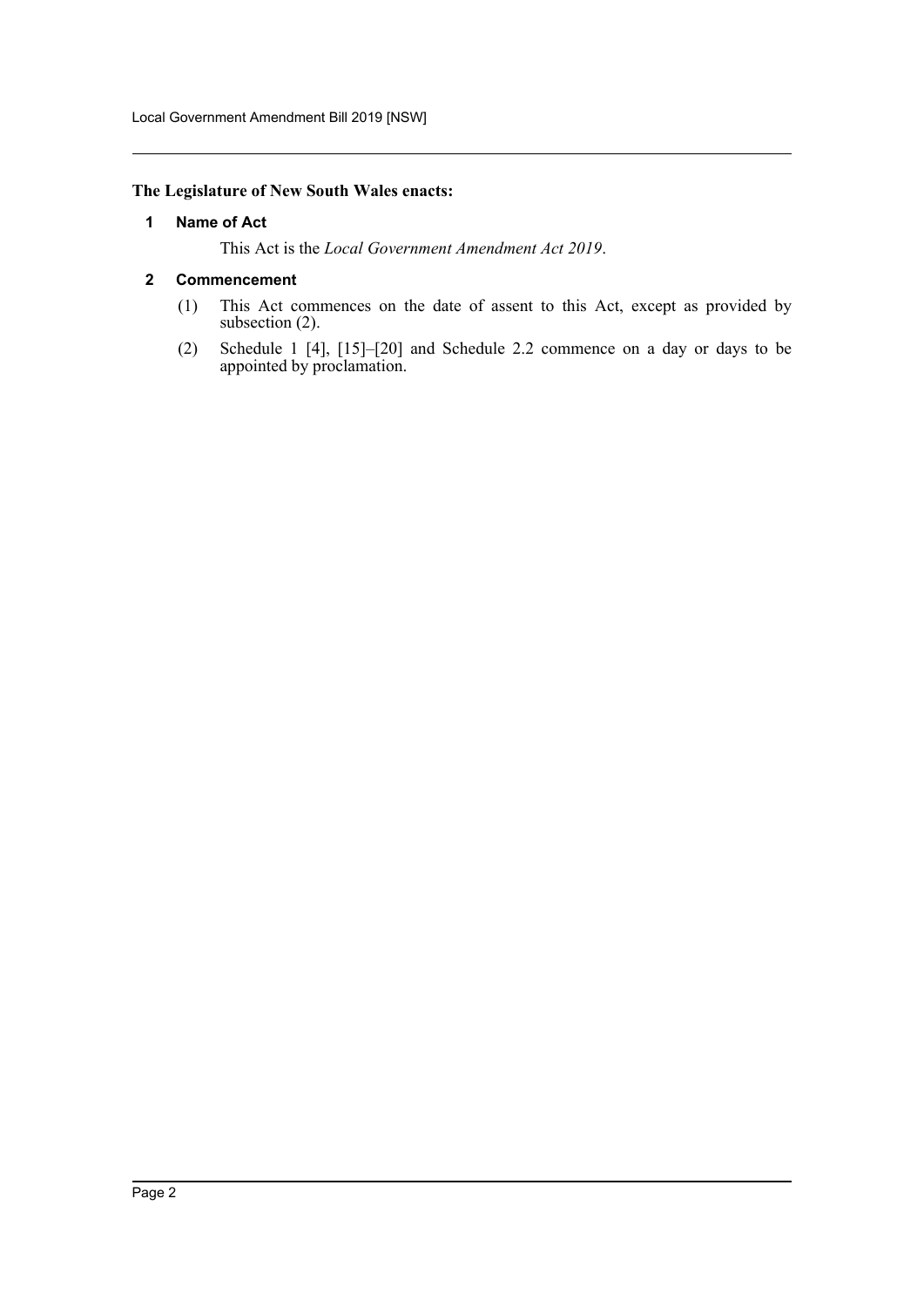## <span id="page-2-0"></span>**The Legislature of New South Wales enacts:**

#### **1 Name of Act**

This Act is the *Local Government Amendment Act 2019*.

#### <span id="page-2-1"></span>**2 Commencement**

- (1) This Act commences on the date of assent to this Act, except as provided by subsection (2).
- (2) Schedule 1 [4], [15]–[20] and Schedule 2.2 commence on a day or days to be appointed by proclamation.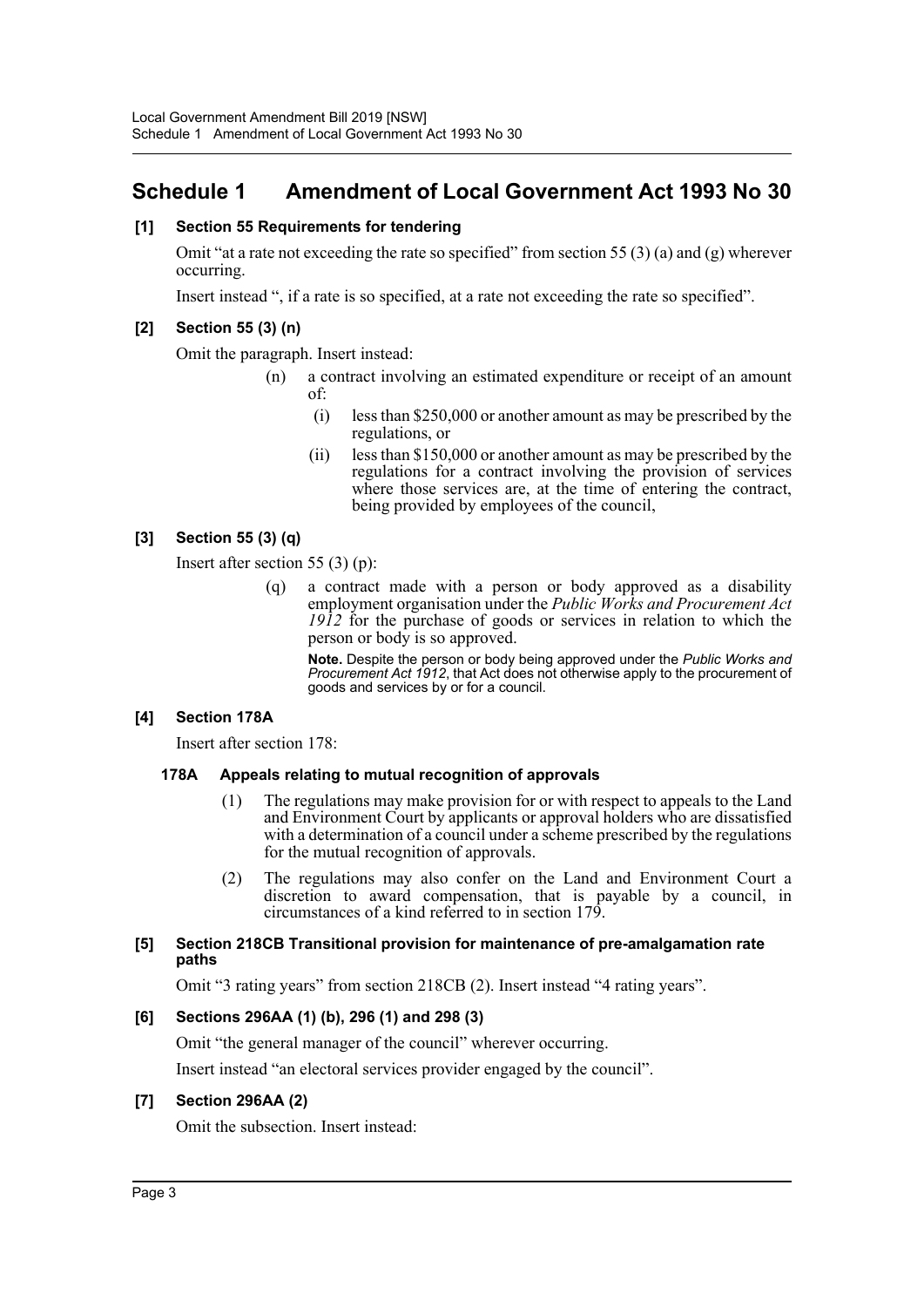## <span id="page-3-0"></span>**Schedule 1 Amendment of Local Government Act 1993 No 30**

#### **[1] Section 55 Requirements for tendering**

Omit "at a rate not exceeding the rate so specified" from section 55 (3) (a) and (g) wherever occurring.

Insert instead ", if a rate is so specified, at a rate not exceeding the rate so specified".

#### **[2] Section 55 (3) (n)**

Omit the paragraph. Insert instead:

- (n) a contract involving an estimated expenditure or receipt of an amount of:
	- (i) less than \$250,000 or another amount as may be prescribed by the regulations, or
	- (ii) less than \$150,000 or another amount as may be prescribed by the regulations for a contract involving the provision of services where those services are, at the time of entering the contract, being provided by employees of the council,

## **[3] Section 55 (3) (q)**

Insert after section 55 (3) (p):

(q) a contract made with a person or body approved as a disability employment organisation under the *Public Works and Procurement Act 1912* for the purchase of goods or services in relation to which the person or body is so approved.

**Note.** Despite the person or body being approved under the *Public Works and Procurement Act 1912*, that Act does not otherwise apply to the procurement of goods and services by or for a council.

#### **[4] Section 178A**

Insert after section 178:

#### **178A Appeals relating to mutual recognition of approvals**

- (1) The regulations may make provision for or with respect to appeals to the Land and Environment Court by applicants or approval holders who are dissatisfied with a determination of a council under a scheme prescribed by the regulations for the mutual recognition of approvals.
- (2) The regulations may also confer on the Land and Environment Court a discretion to award compensation, that is payable by a council, in circumstances of a kind referred to in section 179.

#### **[5] Section 218CB Transitional provision for maintenance of pre-amalgamation rate paths**

Omit "3 rating years" from section 218CB (2). Insert instead "4 rating years".

#### **[6] Sections 296AA (1) (b), 296 (1) and 298 (3)**

Omit "the general manager of the council" wherever occurring.

Insert instead "an electoral services provider engaged by the council".

#### **[7] Section 296AA (2)**

Omit the subsection. Insert instead: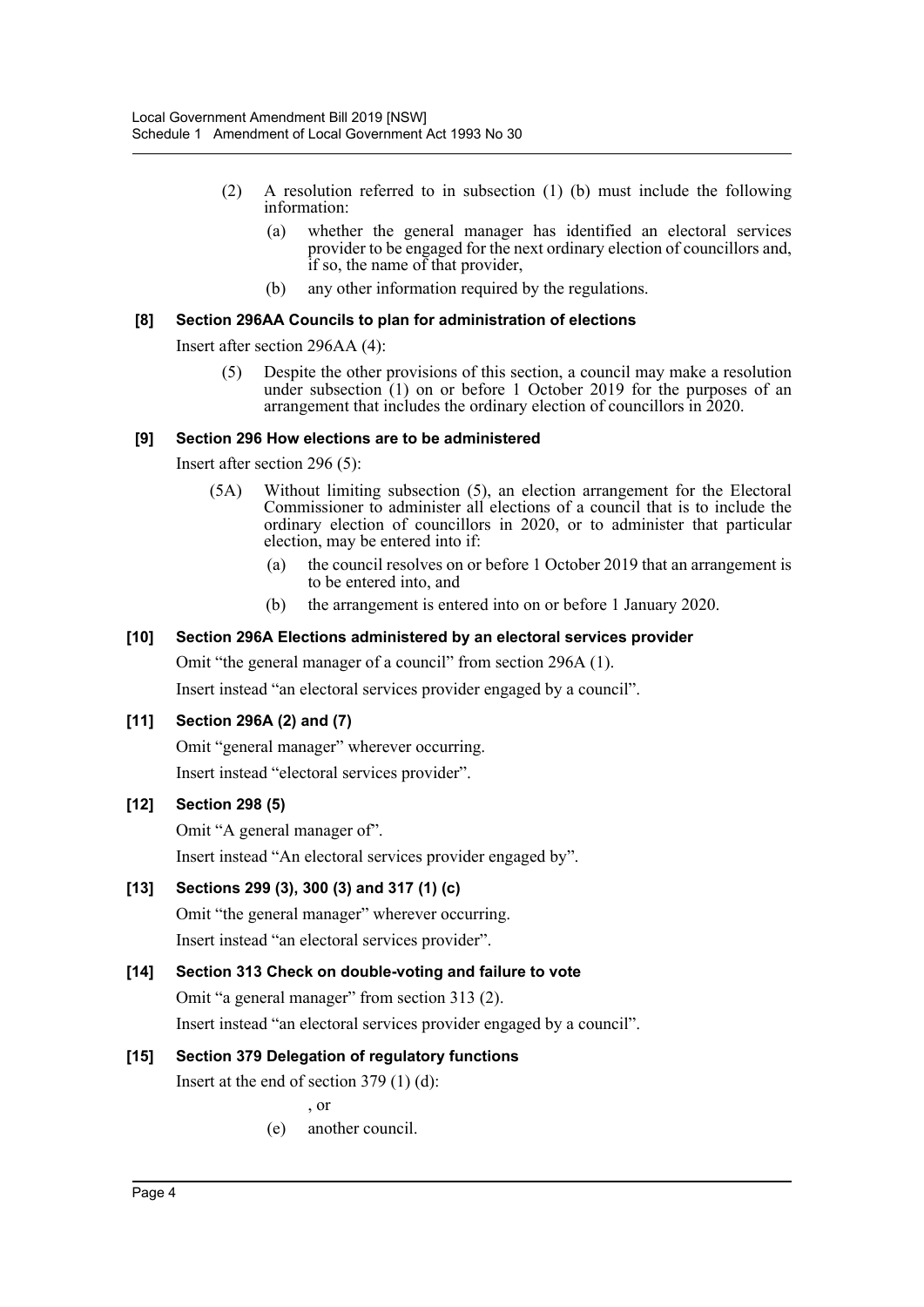- (2) A resolution referred to in subsection (1) (b) must include the following information:
	- (a) whether the general manager has identified an electoral services provider to be engaged for the next ordinary election of councillors and, if so, the name of that provider,
	- (b) any other information required by the regulations.

#### **[8] Section 296AA Councils to plan for administration of elections**

Insert after section 296AA (4):

(5) Despite the other provisions of this section, a council may make a resolution under subsection (1) on or before 1 October 2019 for the purposes of an arrangement that includes the ordinary election of councillors in 2020.

#### **[9] Section 296 How elections are to be administered**

Insert after section 296 (5):

- (5A) Without limiting subsection (5), an election arrangement for the Electoral Commissioner to administer all elections of a council that is to include the ordinary election of councillors in 2020, or to administer that particular election, may be entered into if:
	- (a) the council resolves on or before 1 October 2019 that an arrangement is to be entered into, and
	- (b) the arrangement is entered into on or before 1 January 2020.

#### **[10] Section 296A Elections administered by an electoral services provider**

Omit "the general manager of a council" from section 296A (1).

Insert instead "an electoral services provider engaged by a council".

#### **[11] Section 296A (2) and (7)**

Omit "general manager" wherever occurring.

Insert instead "electoral services provider".

#### **[12] Section 298 (5)**

Omit "A general manager of".

Insert instead "An electoral services provider engaged by".

#### **[13] Sections 299 (3), 300 (3) and 317 (1) (c)**

Omit "the general manager" wherever occurring. Insert instead "an electoral services provider".

#### **[14] Section 313 Check on double-voting and failure to vote**

Omit "a general manager" from section 313 (2).

Insert instead "an electoral services provider engaged by a council".

#### **[15] Section 379 Delegation of regulatory functions**

Insert at the end of section 379 (1) (d):

, or

(e) another council.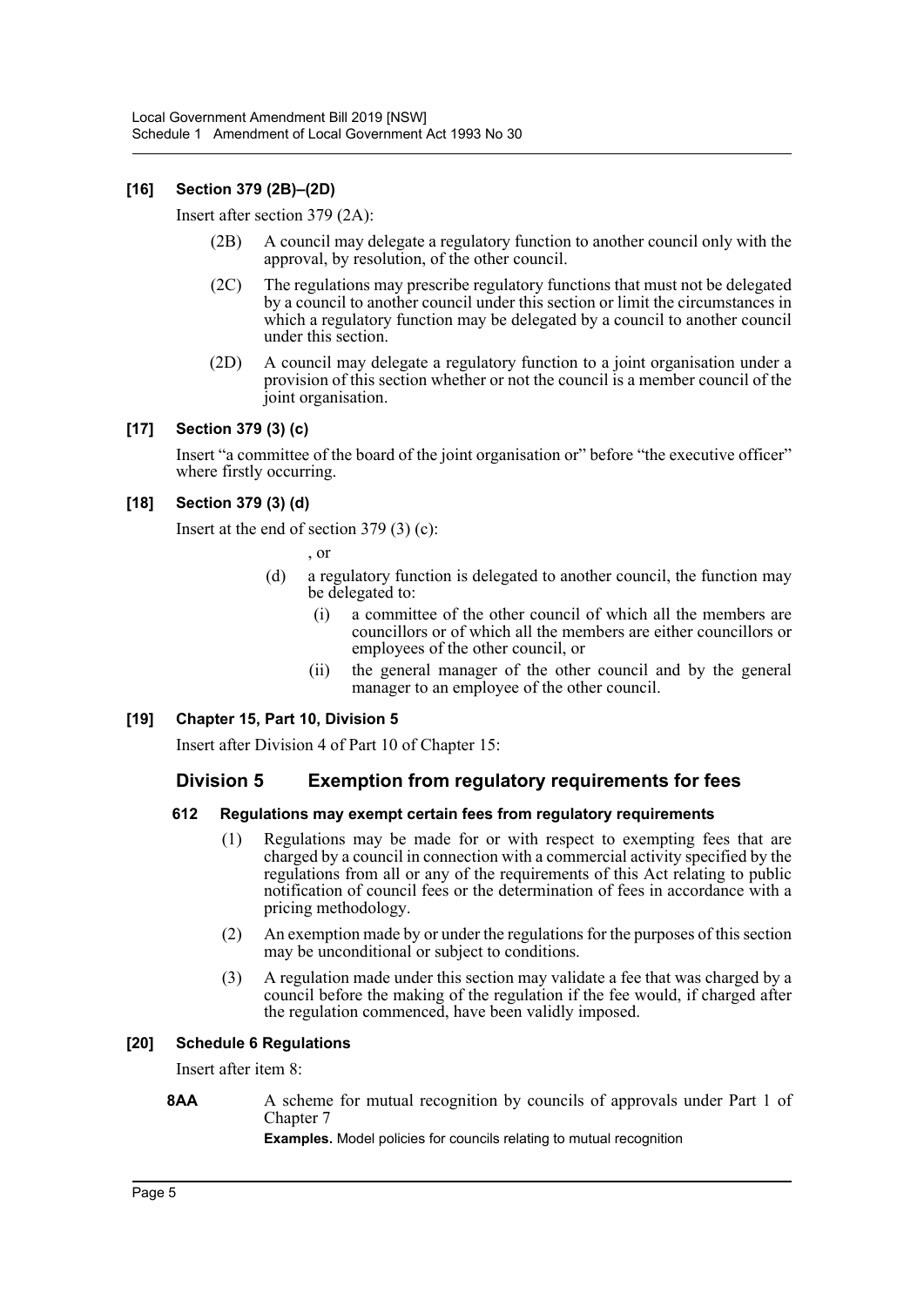#### **[16] Section 379 (2B)–(2D)**

Insert after section 379 (2A):

- (2B) A council may delegate a regulatory function to another council only with the approval, by resolution, of the other council.
- (2C) The regulations may prescribe regulatory functions that must not be delegated by a council to another council under this section or limit the circumstances in which a regulatory function may be delegated by a council to another council under this section.
- (2D) A council may delegate a regulatory function to a joint organisation under a provision of this section whether or not the council is a member council of the joint organisation.

#### **[17] Section 379 (3) (c)**

Insert "a committee of the board of the joint organisation or" before "the executive officer" where firstly occurring.

#### **[18] Section 379 (3) (d)**

Insert at the end of section 379 (3) (c):

, or

- (d) a regulatory function is delegated to another council, the function may be delegated to:
	- (i) a committee of the other council of which all the members are councillors or of which all the members are either councillors or employees of the other council, or
	- (ii) the general manager of the other council and by the general manager to an employee of the other council.

#### **[19] Chapter 15, Part 10, Division 5**

Insert after Division 4 of Part 10 of Chapter 15:

## **Division 5 Exemption from regulatory requirements for fees**

#### **612 Regulations may exempt certain fees from regulatory requirements**

- (1) Regulations may be made for or with respect to exempting fees that are charged by a council in connection with a commercial activity specified by the regulations from all or any of the requirements of this Act relating to public notification of council fees or the determination of fees in accordance with a pricing methodology.
- (2) An exemption made by or under the regulations for the purposes of this section may be unconditional or subject to conditions.
- (3) A regulation made under this section may validate a fee that was charged by a council before the making of the regulation if the fee would, if charged after the regulation commenced, have been validly imposed.

#### **[20] Schedule 6 Regulations**

Insert after item 8:

#### **8AA** A scheme for mutual recognition by councils of approvals under Part 1 of Chapter 7

**Examples.** Model policies for councils relating to mutual recognition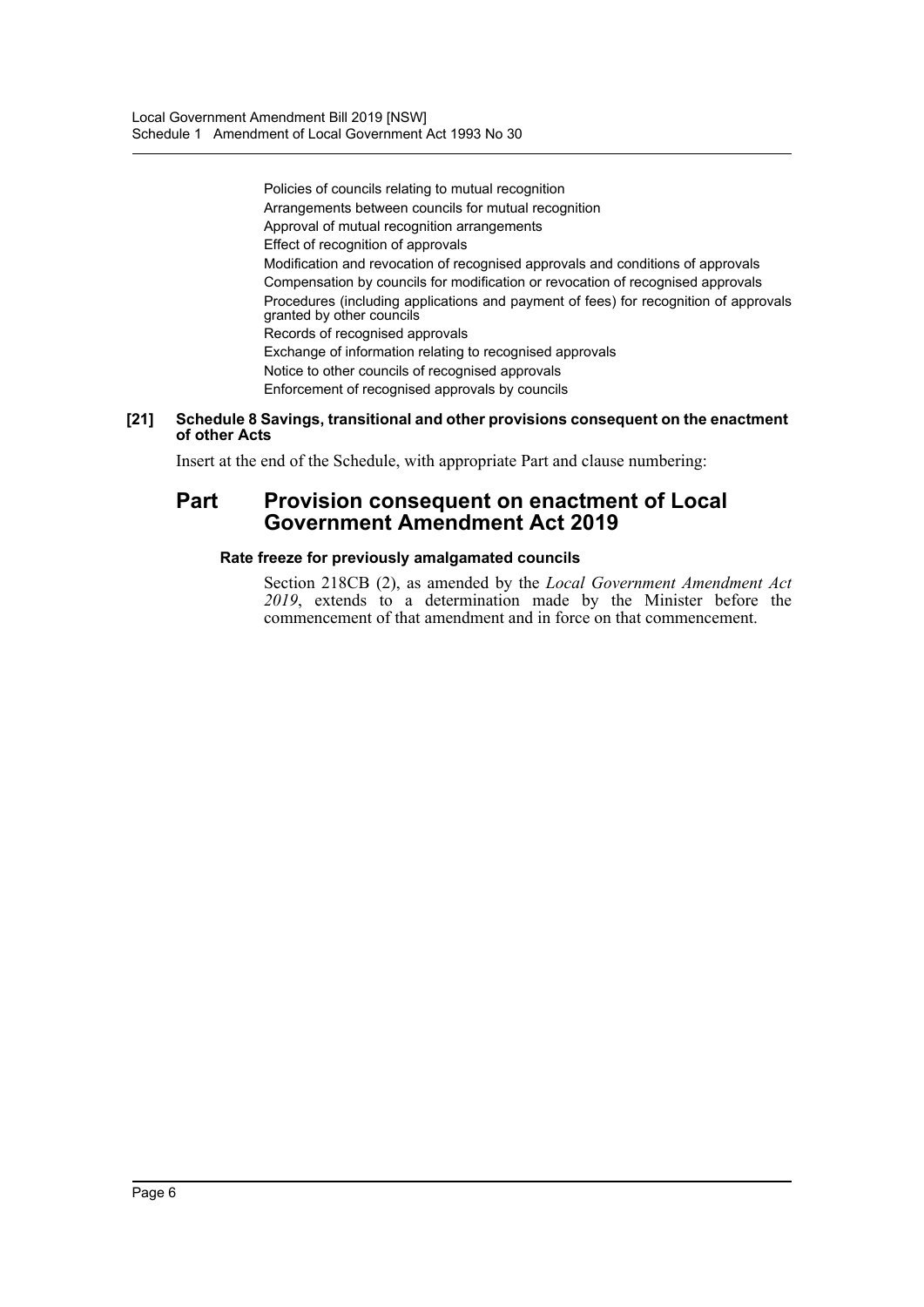Policies of councils relating to mutual recognition Arrangements between councils for mutual recognition Approval of mutual recognition arrangements Effect of recognition of approvals Modification and revocation of recognised approvals and conditions of approvals Compensation by councils for modification or revocation of recognised approvals Procedures (including applications and payment of fees) for recognition of approvals granted by other councils Records of recognised approvals Exchange of information relating to recognised approvals Notice to other councils of recognised approvals Enforcement of recognised approvals by councils

#### **[21] Schedule 8 Savings, transitional and other provisions consequent on the enactment of other Acts**

Insert at the end of the Schedule, with appropriate Part and clause numbering:

## **Part Provision consequent on enactment of Local Government Amendment Act 2019**

#### **Rate freeze for previously amalgamated councils**

Section 218CB (2), as amended by the *Local Government Amendment Act 2019*, extends to a determination made by the Minister before the commencement of that amendment and in force on that commencement.